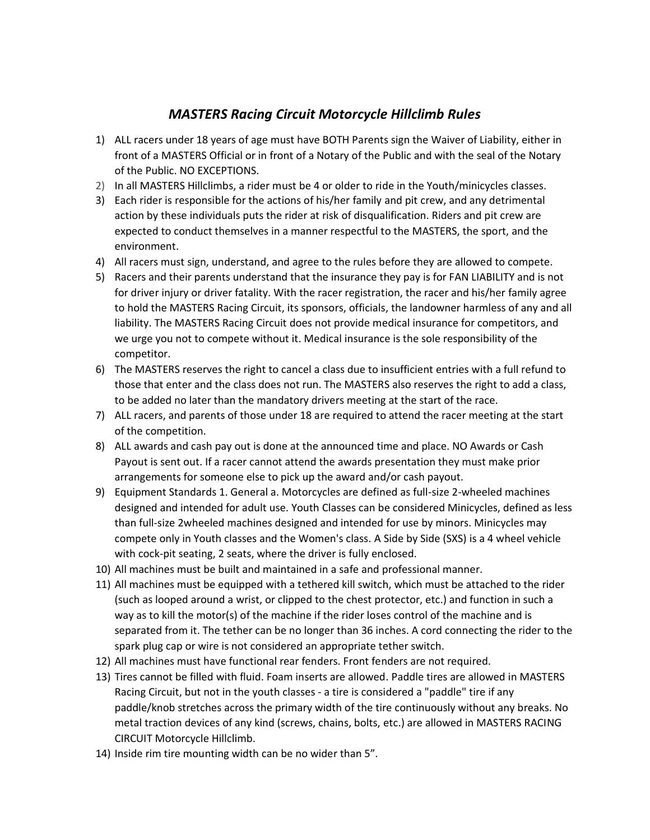## *MASTERS Racing Circuit Motorcycle Hillclimb Rules*

- 1) ALL racers under 18 years of age must have BOTH Parents sign the Waiver of Liability, either in front of a MASTERS Official or in front of a Notary of the Public and with the seal of the Notary of the Public. NO EXCEPTIONS.
- 2) In all MASTERS Hillclimbs, a rider must be 4 or older to ride in the Youth/minicycles classes.
- 3) Each rider is responsible for the actions of his/her family and pit crew, and any detrimental action by these individuals puts the rider at risk of disqualification. Riders and pit crew are expected to conduct themselves in a manner respectful to the MASTERS, the sport, and the environment.
- 4) All racers must sign, understand, and agree to the rules before they are allowed to compete.
- 5) Racers and their parents understand that the insurance they pay is for FAN LIABILITY and is not for driver injury or driver fatality. With the racer registration, the racer and his/her family agree to hold the MASTERS Racing Circuit, its sponsors, officials, the landowner harmless of any and all liability. The MASTERS Racing Circuit does not provide medical insurance for competitors, and we urge you not to compete without it. Medical insurance is the sole responsibility of the competitor.
- 6) The MASTERS reserves the right to cancel a class due to insufficient entries with a full refund to those that enter and the class does not run. The MASTERS also reserves the right to add a class, to be added no later than the mandatory drivers meeting at the start of the race.
- 7) ALL racers, and parents of those under 18 are required to attend the racer meeting at the start of the competition.
- 8) ALL awards and cash pay out is done at the announced time and place. NO Awards or Cash Payout is sent out. If a racer cannot attend the awards presentation they must make prior arrangements for someone else to pick up the award and/or cash payout.
- 9) Equipment Standards 1. General a. Motorcycles are defined as full-size 2-wheeled machines designed and intended for adult use. Youth Classes can be considered Minicycles, defined as less than full-size 2wheeled machines designed and intended for use by minors. Minicycles may compete only in Youth classes and the Women's class. A Side by Side (SXS) is a 4 wheel vehicle with cock-pit seating, 2 seats, where the driver is fully enclosed.
- 10) All machines must be built and maintained in a safe and professional manner.
- 11) All machines must be equipped with a tethered kill switch, which must be attached to the rider (such as looped around a wrist, or clipped to the chest protector, etc.) and function in such a way as to kill the motor(s) of the machine if the rider loses control of the machine and is separated from it. The tether can be no longer than 36 inches. A cord connecting the rider to the spark plug cap or wire is not considered an appropriate tether switch.
- 12) All machines must have functional rear fenders. Front fenders are not required.
- 13) Tires cannot be filled with fluid. Foam inserts are allowed. Paddle tires are allowed in MASTERS Racing Circuit, but not in the youth classes - a tire is considered a "paddle" tire if any paddle/knob stretches across the primary width of the tire continuously without any breaks. No metal traction devices of any kind (screws, chains, bolts, etc.) are allowed in MASTERS RACING CIRCUIT Motorcycle Hillclimb.
- 14) Inside rim tire mounting width can be no wider than 5".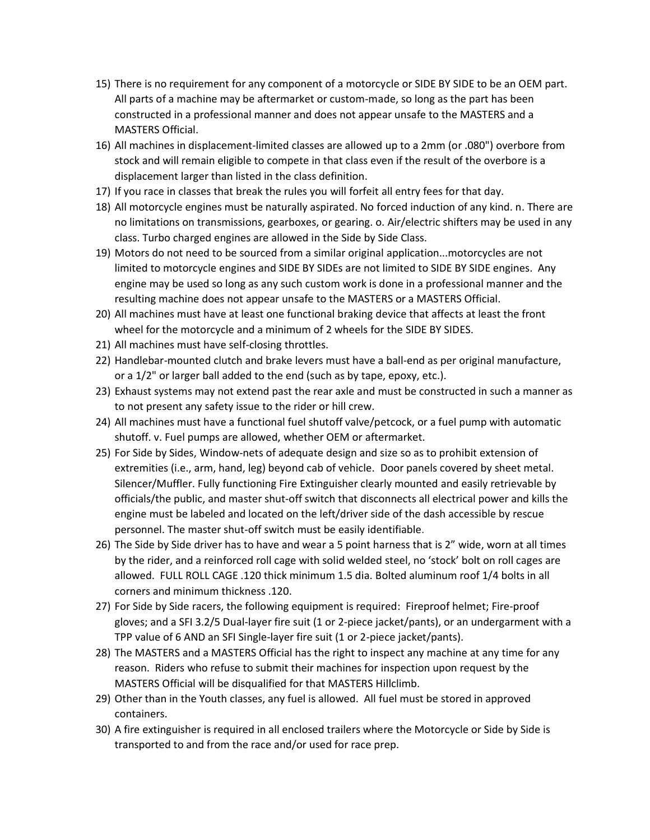- 15) There is no requirement for any component of a motorcycle or SIDE BY SIDE to be an OEM part. All parts of a machine may be aftermarket or custom-made, so long as the part has been constructed in a professional manner and does not appear unsafe to the MASTERS and a MASTERS Official.
- 16) All machines in displacement-limited classes are allowed up to a 2mm (or .080") overbore from stock and will remain eligible to compete in that class even if the result of the overbore is a displacement larger than listed in the class definition.
- 17) If you race in classes that break the rules you will forfeit all entry fees for that day.
- 18) All motorcycle engines must be naturally aspirated. No forced induction of any kind. n. There are no limitations on transmissions, gearboxes, or gearing. o. Air/electric shifters may be used in any class. Turbo charged engines are allowed in the Side by Side Class.
- 19) Motors do not need to be sourced from a similar original application...motorcycles are not limited to motorcycle engines and SIDE BY SIDEs are not limited to SIDE BY SIDE engines. Any engine may be used so long as any such custom work is done in a professional manner and the resulting machine does not appear unsafe to the MASTERS or a MASTERS Official.
- 20) All machines must have at least one functional braking device that affects at least the front wheel for the motorcycle and a minimum of 2 wheels for the SIDE BY SIDES.
- 21) All machines must have self-closing throttles.
- 22) Handlebar-mounted clutch and brake levers must have a ball-end as per original manufacture, or a 1/2" or larger ball added to the end (such as by tape, epoxy, etc.).
- 23) Exhaust systems may not extend past the rear axle and must be constructed in such a manner as to not present any safety issue to the rider or hill crew.
- 24) All machines must have a functional fuel shutoff valve/petcock, or a fuel pump with automatic shutoff. v. Fuel pumps are allowed, whether OEM or aftermarket.
- 25) For Side by Sides, Window-nets of adequate design and size so as to prohibit extension of extremities (i.e., arm, hand, leg) beyond cab of vehicle. Door panels covered by sheet metal. Silencer/Muffler. Fully functioning Fire Extinguisher clearly mounted and easily retrievable by officials/the public, and master shut-off switch that disconnects all electrical power and kills the engine must be labeled and located on the left/driver side of the dash accessible by rescue personnel. The master shut-off switch must be easily identifiable.
- 26) The Side by Side driver has to have and wear a 5 point harness that is 2" wide, worn at all times by the rider, and a reinforced roll cage with solid welded steel, no 'stock' bolt on roll cages are allowed. FULL ROLL CAGE .120 thick minimum 1.5 dia. Bolted aluminum roof 1/4 bolts in all corners and minimum thickness .120.
- 27) For Side by Side racers, the following equipment is required: Fireproof helmet; Fire-proof gloves; and a SFI 3.2/5 Dual-layer fire suit (1 or 2-piece jacket/pants), or an undergarment with a TPP value of 6 AND an SFI Single-layer fire suit (1 or 2-piece jacket/pants).
- 28) The MASTERS and a MASTERS Official has the right to inspect any machine at any time for any reason. Riders who refuse to submit their machines for inspection upon request by the MASTERS Official will be disqualified for that MASTERS Hillclimb.
- 29) Other than in the Youth classes, any fuel is allowed. All fuel must be stored in approved containers.
- 30) A fire extinguisher is required in all enclosed trailers where the Motorcycle or Side by Side is transported to and from the race and/or used for race prep.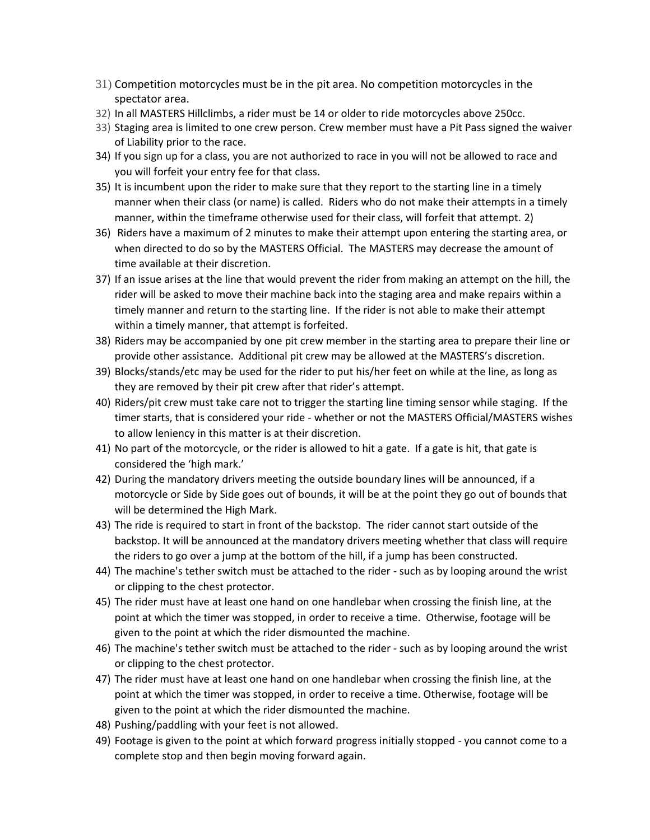- 31) Competition motorcycles must be in the pit area. No competition motorcycles in the spectator area.
- 32) In all MASTERS Hillclimbs, a rider must be 14 or older to ride motorcycles above 250cc.
- 33) Staging area is limited to one crew person. Crew member must have a Pit Pass signed the waiver of Liability prior to the race.
- 34) If you sign up for a class, you are not authorized to race in you will not be allowed to race and you will forfeit your entry fee for that class.
- 35) It is incumbent upon the rider to make sure that they report to the starting line in a timely manner when their class (or name) is called. Riders who do not make their attempts in a timely manner, within the timeframe otherwise used for their class, will forfeit that attempt. 2)
- 36) Riders have a maximum of 2 minutes to make their attempt upon entering the starting area, or when directed to do so by the MASTERS Official. The MASTERS may decrease the amount of time available at their discretion.
- 37) If an issue arises at the line that would prevent the rider from making an attempt on the hill, the rider will be asked to move their machine back into the staging area and make repairs within a timely manner and return to the starting line. If the rider is not able to make their attempt within a timely manner, that attempt is forfeited.
- 38) Riders may be accompanied by one pit crew member in the starting area to prepare their line or provide other assistance. Additional pit crew may be allowed at the MASTERS's discretion.
- 39) Blocks/stands/etc may be used for the rider to put his/her feet on while at the line, as long as they are removed by their pit crew after that rider's attempt.
- 40) Riders/pit crew must take care not to trigger the starting line timing sensor while staging. If the timer starts, that is considered your ride - whether or not the MASTERS Official/MASTERS wishes to allow leniency in this matter is at their discretion.
- 41) No part of the motorcycle, or the rider is allowed to hit a gate. If a gate is hit, that gate is considered the 'high mark.'
- 42) During the mandatory drivers meeting the outside boundary lines will be announced, if a motorcycle or Side by Side goes out of bounds, it will be at the point they go out of bounds that will be determined the High Mark.
- 43) The ride is required to start in front of the backstop. The rider cannot start outside of the backstop. It will be announced at the mandatory drivers meeting whether that class will require the riders to go over a jump at the bottom of the hill, if a jump has been constructed.
- 44) The machine's tether switch must be attached to the rider such as by looping around the wrist or clipping to the chest protector.
- 45) The rider must have at least one hand on one handlebar when crossing the finish line, at the point at which the timer was stopped, in order to receive a time. Otherwise, footage will be given to the point at which the rider dismounted the machine.
- 46) The machine's tether switch must be attached to the rider such as by looping around the wrist or clipping to the chest protector.
- 47) The rider must have at least one hand on one handlebar when crossing the finish line, at the point at which the timer was stopped, in order to receive a time. Otherwise, footage will be given to the point at which the rider dismounted the machine.
- 48) Pushing/paddling with your feet is not allowed.
- 49) Footage is given to the point at which forward progress initially stopped you cannot come to a complete stop and then begin moving forward again.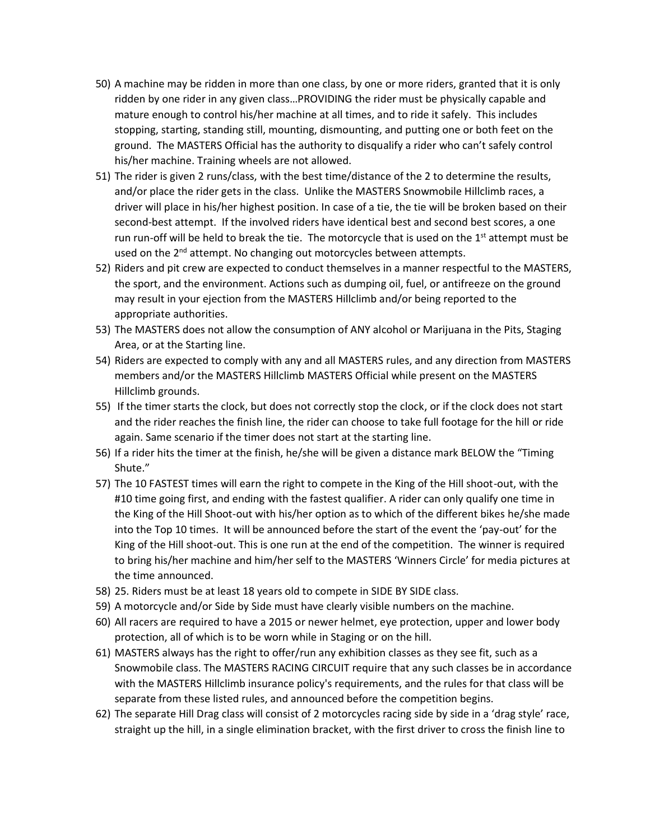- 50) A machine may be ridden in more than one class, by one or more riders, granted that it is only ridden by one rider in any given class…PROVIDING the rider must be physically capable and mature enough to control his/her machine at all times, and to ride it safely. This includes stopping, starting, standing still, mounting, dismounting, and putting one or both feet on the ground. The MASTERS Official has the authority to disqualify a rider who can't safely control his/her machine. Training wheels are not allowed.
- 51) The rider is given 2 runs/class, with the best time/distance of the 2 to determine the results, and/or place the rider gets in the class. Unlike the MASTERS Snowmobile Hillclimb races, a driver will place in his/her highest position. In case of a tie, the tie will be broken based on their second-best attempt. If the involved riders have identical best and second best scores, a one run run-off will be held to break the tie. The motorcycle that is used on the 1<sup>st</sup> attempt must be used on the 2<sup>nd</sup> attempt. No changing out motorcycles between attempts.
- 52) Riders and pit crew are expected to conduct themselves in a manner respectful to the MASTERS, the sport, and the environment. Actions such as dumping oil, fuel, or antifreeze on the ground may result in your ejection from the MASTERS Hillclimb and/or being reported to the appropriate authorities.
- 53) The MASTERS does not allow the consumption of ANY alcohol or Marijuana in the Pits, Staging Area, or at the Starting line.
- 54) Riders are expected to comply with any and all MASTERS rules, and any direction from MASTERS members and/or the MASTERS Hillclimb MASTERS Official while present on the MASTERS Hillclimb grounds.
- 55) If the timer starts the clock, but does not correctly stop the clock, or if the clock does not start and the rider reaches the finish line, the rider can choose to take full footage for the hill or ride again. Same scenario if the timer does not start at the starting line.
- 56) If a rider hits the timer at the finish, he/she will be given a distance mark BELOW the "Timing Shute."
- 57) The 10 FASTEST times will earn the right to compete in the King of the Hill shoot-out, with the #10 time going first, and ending with the fastest qualifier. A rider can only qualify one time in the King of the Hill Shoot-out with his/her option as to which of the different bikes he/she made into the Top 10 times. It will be announced before the start of the event the 'pay-out' for the King of the Hill shoot-out. This is one run at the end of the competition. The winner is required to bring his/her machine and him/her self to the MASTERS 'Winners Circle' for media pictures at the time announced.
- 58) 25. Riders must be at least 18 years old to compete in SIDE BY SIDE class.
- 59) A motorcycle and/or Side by Side must have clearly visible numbers on the machine.
- 60) All racers are required to have a 2015 or newer helmet, eye protection, upper and lower body protection, all of which is to be worn while in Staging or on the hill.
- 61) MASTERS always has the right to offer/run any exhibition classes as they see fit, such as a Snowmobile class. The MASTERS RACING CIRCUIT require that any such classes be in accordance with the MASTERS Hillclimb insurance policy's requirements, and the rules for that class will be separate from these listed rules, and announced before the competition begins.
- 62) The separate Hill Drag class will consist of 2 motorcycles racing side by side in a 'drag style' race, straight up the hill, in a single elimination bracket, with the first driver to cross the finish line to